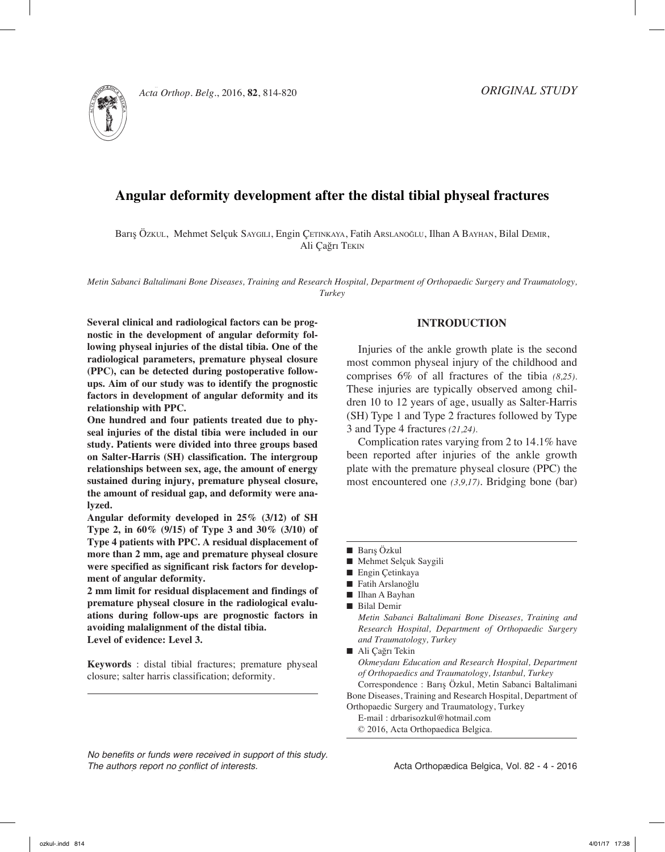

814 b. özkul, s. m. saygılı, e. çetinkaya, f. arslanoğlu, i. a. bayhan, b. demir, a. ç. tekin *Acta Orthop. Belg.*, 2016, **82**, 814-820

# **Angular deformity development after the distal tibial physeal fractures**

Barış Özkul, Mehmet Selçuk Saygılı, Engin Çetinkaya, Fatih Arslanoğlu, Ilhan A Bayhan, Bilal Demir, Ali Çağrı Tekin

*Metin Sabanci Baltalimani Bone Diseases, Training and Research Hospital, Department of Orthopaedic Surgery and Traumatology, Turkey*

**Several clinical and radiological factors can be prognostic in the development of angular deformity following physeal injuries of the distal tibia. One of the radiological parameters, premature physeal closure (PPC), can be detected during postoperative followups. Aim of our study was to identify the prognostic factors in development of angular deformity and its relationship with PPC.**

**One hundred and four patients treated due to physeal injuries of the distal tibia were included in our study. Patients were divided into three groups based on Salter-Harris (SH) classification. The intergroup relationships between sex, age, the amount of energy sustained during injury, premature physeal closure, the amount of residual gap, and deformity were analyzed.** 

**Angular deformity developed in 25% (3/12) of SH Type 2, in 60% (9/15) of Type 3 and 30% (3/10) of Type 4 patients with PPC. A residual displacement of more than 2 mm, age and premature physeal closure were specified as significant risk factors for development of angular deformity.** 

**2 mm limit for residual displacement and findings of premature physeal closure in the radiological evaluations during follow-ups are prognostic factors in avoiding malalignment of the distal tibia. Level of evidence: Level 3.** 

**Keywords** : distal tibial fractures; premature physeal closure; salter harris classification; deformity.

*No benefits or funds were received in support of this study. The authors report no conflict of interests.* 

#### **Introduction**

Injuries of the ankle growth plate is the second most common physeal injury of the childhood and comprises 6% of all fractures of the tibia *(8,25).*  These injuries are typically observed among children 10 to 12 years of age, usually as Salter-Harris (SH) Type 1 and Type 2 fractures followed by Type 3 and Type 4 fractures *(21,24).*

Complication rates varying from 2 to 14.1% have been reported after injuries of the ankle growth plate with the premature physeal closure (PPC) the most encountered one *(3,9,17)*. Bridging bone (bar)

- Fatih Arslanoğlu
- Ilhan A Bayhan
- **Bilal Demir**

*Metin Sabanci Baltalimani Bone Diseases, Training and Research Hospital, Department of Orthopaedic Surgery and Traumatology, Turkey*

■ Ali Cağrı Tekin

*Okmeydanı Education and Research Hospital, Department of Orthopaedics and Traumatology, Istanbul, Turkey* Correspondence : Barış Özkul, Metin Sabanci Baltalimani

Bone Diseases, Training and Research Hospital, Department of Orthopaedic Surgery and Traumatology, Turkey

E-mail : drbarisozkul@hotmail.com

© 2016, Acta Orthopaedica Belgica.

 $\blacksquare$  Barış Özkul

<sup>■</sup> Mehmet Selçuk Saygili

 $\blacksquare$  Engin Çetinkaya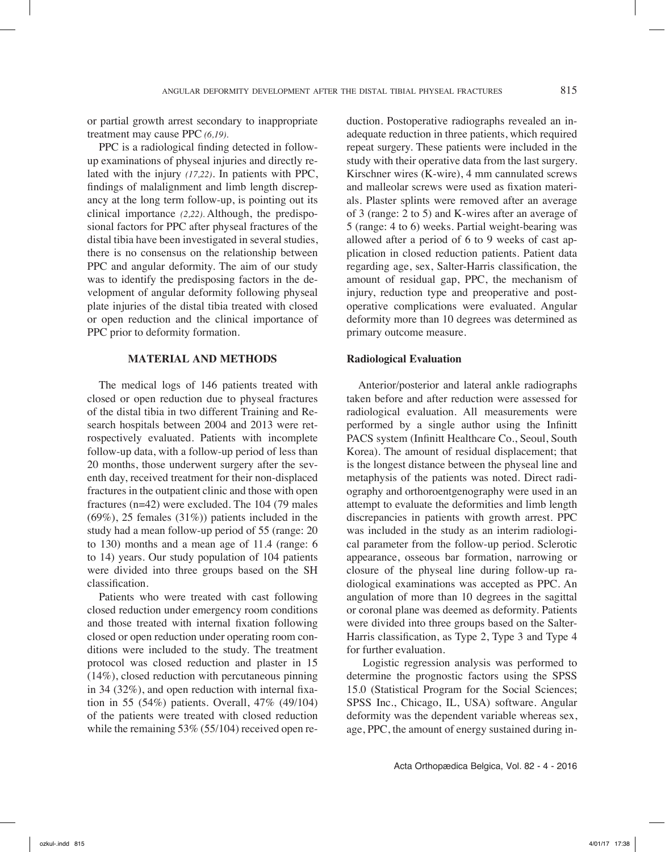or partial growth arrest secondary to inappropriate treatment may cause PPC *(6,19).*

PPC is a radiological finding detected in followup examinations of physeal injuries and directly related with the injury *(17,22)*. In patients with PPC, findings of malalignment and limb length discrepancy at the long term follow-up, is pointing out its clinical importance *(2,22).* Although, the predisposional factors for PPC after physeal fractures of the distal tibia have been investigated in several studies, there is no consensus on the relationship between PPC and angular deformity. The aim of our study was to identify the predisposing factors in the development of angular deformity following physeal plate injuries of the distal tibia treated with closed or open reduction and the clinical importance of PPC prior to deformity formation.

## **Material and Methods**

The medical logs of 146 patients treated with closed or open reduction due to physeal fractures of the distal tibia in two different Training and Research hospitals between 2004 and 2013 were retrospectively evaluated. Patients with incomplete follow-up data, with a follow-up period of less than 20 months, those underwent surgery after the seventh day, received treatment for their non-displaced fractures in the outpatient clinic and those with open fractures (n=42) were excluded. The 104 (79 males  $(69\%)$ , 25 females  $(31\%)$  patients included in the study had a mean follow-up period of 55 (range: 20 to 130) months and a mean age of 11.4 (range: 6 to 14) years. Our study population of 104 patients were divided into three groups based on the SH classification.

Patients who were treated with cast following closed reduction under emergency room conditions and those treated with internal fixation following closed or open reduction under operating room conditions were included to the study. The treatment protocol was closed reduction and plaster in 15 (14%), closed reduction with percutaneous pinning in 34 (32%), and open reduction with internal fixation in 55 (54%) patients. Overall, 47% (49/104) of the patients were treated with closed reduction while the remaining 53% (55/104) received open re-

duction. Postoperative radiographs revealed an inadequate reduction in three patients, which required repeat surgery. These patients were included in the study with their operative data from the last surgery. Kirschner wires (K-wire), 4 mm cannulated screws and malleolar screws were used as fixation materials. Plaster splints were removed after an average of 3 (range: 2 to 5) and K-wires after an average of 5 (range: 4 to 6) weeks. Partial weight-bearing was allowed after a period of 6 to 9 weeks of cast application in closed reduction patients. Patient data regarding age, sex, Salter-Harris classification, the amount of residual gap, PPC, the mechanism of injury, reduction type and preoperative and postoperative complications were evaluated. Angular deformity more than 10 degrees was determined as primary outcome measure.

## **Radiological Evaluation**

Anterior/posterior and lateral ankle radiographs taken before and after reduction were assessed for radiological evaluation. All measurements were performed by a single author using the Infinitt PACS system (Infinitt Healthcare Co., Seoul, South Korea). The amount of residual displacement; that is the longest distance between the physeal line and metaphysis of the patients was noted. Direct radiography and orthoroentgenography were used in an attempt to evaluate the deformities and limb length discrepancies in patients with growth arrest. PPC was included in the study as an interim radiological parameter from the follow-up period. Sclerotic appearance, osseous bar formation, narrowing or closure of the physeal line during follow-up radiological examinations was accepted as PPC. An angulation of more than 10 degrees in the sagittal or coronal plane was deemed as deformity. Patients were divided into three groups based on the Salter-Harris classification, as Type 2, Type 3 and Type 4 for further evaluation.

 Logistic regression analysis was performed to determine the prognostic factors using the SPSS 15.0 (Statistical Program for the Social Sciences; SPSS Inc., Chicago, IL, USA) software. Angular deformity was the dependent variable whereas sex, age, PPC, the amount of energy sustained during in-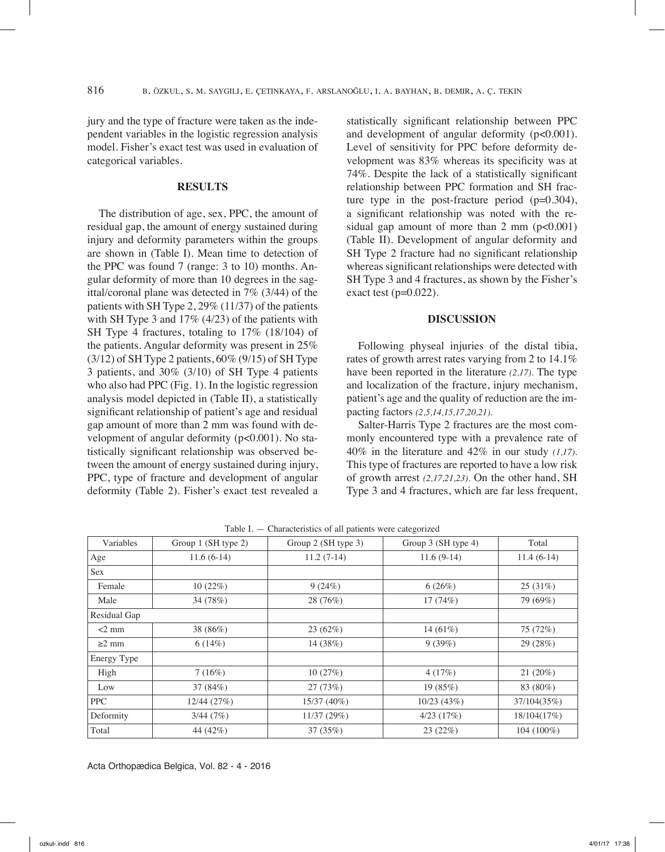jury and the type of fracture were taken as the independent variables in the logistic regression analysis model. Fisher's exact test was used in evaluation of categorical variables.

### **Results**

The distribution of age, sex, PPC, the amount of residual gap, the amount of energy sustained during injury and deformity parameters within the groups are shown in (Table I). Mean time to detection of the PPC was found 7 (range: 3 to 10) months. Angular deformity of more than 10 degrees in the sagittal/coronal plane was detected in 7% (3/44) of the patients with SH Type 2, 29% (11/37) of the patients with SH Type 3 and 17% (4/23) of the patients with SH Type 4 fractures, totaling to 17% (18/104) of the patients. Angular deformity was present in 25%  $(3/12)$  of SH Type 2 patients,  $60\%$   $(9/15)$  of SH Type 3 patients, and 30% (3/10) of SH Type 4 patients who also had PPC (Fig. 1). In the logistic regression analysis model depicted in (Table II), a statistically significant relationship of patient's age and residual gap amount of more than 2 mm was found with development of angular deformity (p<0.001). No statistically significant relationship was observed between the amount of energy sustained during injury, PPC, type of fracture and development of angular deformity (Table 2). Fisher's exact test revealed a

statistically significant relationship between PPC and development of angular deformity ( $p<0.001$ ). Level of sensitivity for PPC before deformity development was 83% whereas its specificity was at 74%. Despite the lack of a statistically significant relationship between PPC formation and SH fracture type in the post-fracture period (p=0.304), a significant relationship was noted with the residual gap amount of more than  $2 \text{ mm}$  ( $p < 0.001$ ) (Table II). Development of angular deformity and SH Type 2 fracture had no significant relationship whereas significant relationships were detected with SH Type 3 and 4 fractures, as shown by the Fisher's exact test ( $p=0.022$ ).

#### **Discussion**

Following physeal injuries of the distal tibia, rates of growth arrest rates varying from 2 to 14.1% have been reported in the literature *(2,17).* The type and localization of the fracture, injury mechanism, patient's age and the quality of reduction are the impacting factors *(2,5,14,15,17,20,21).*

Salter-Harris Type 2 fractures are the most commonly encountered type with a prevalence rate of 40% in the literature and 42% in our study *(1,17).*  This type of fractures are reported to have a low risk of growth arrest *(2,17,21,23).* On the other hand, SH Type 3 and 4 fractures, which are far less frequent,

| Variables    | Group 1 (SH type 2) | Group 2 (SH type 3) | Group 3 (SH type 4) | Total        |
|--------------|---------------------|---------------------|---------------------|--------------|
| Age          | $11.6(6-14)$        | $11.2(7-14)$        | $11.6(9-14)$        | $11.4(6-14)$ |
| Sex          |                     |                     |                     |              |
| Female       | 10(22%)             | 9(24%)              | 6(26%)              | 25(31%)      |
| Male         | 34 (78%)            | 28 (76%)            | 17(74%)             | 79 (69%)     |
| Residual Gap |                     |                     |                     |              |
| $<$ 2 mm     | 38 (86%)            | 23(62%)             | 14 $(61\%)$         | 75 (72%)     |
| $\geq$ 2 mm  | 6(14%)              | 14 (38%)            | 9(39%)              | 29 (28%)     |
| Energy Type  |                     |                     |                     |              |
| High         | 7(16%)              | 10(27%)             | 4(17%)              | 21(20%)      |
| Low          | 37 (84%)            | 27 (73%)            | 19(85%)             | 83 (80%)     |
| PPC.         | 12/44(27%)          | 15/37 (40%)         | 10/23(43%)          | 37/104(35%)  |
| Deformity    | 3/44(7%)            | 11/37 (29%)         | $4/23$ $(17%)$      | 18/104(17%)  |
| Total        | 44 (42%)            | 37(35%)             | 23(22%)             | 104 (100%)   |

Table I. — Characteristics of all patients were categorized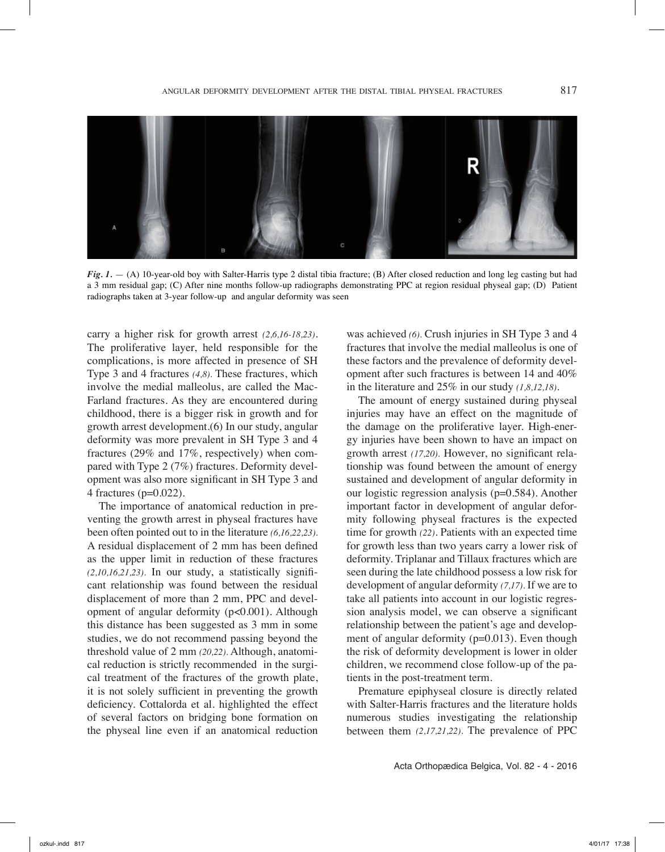

*Fig. 1.* - (A) 10-year-old boy with Salter-Harris type 2 distal tibia fracture; (B) After closed reduction and long leg casting but had a 3 mm residual gap; (C) After nine months follow-up radiographs demonstrating PPC at region residual physeal gap; (D) Patient radiographs taken at 3-year follow-up and angular deformity was seen

carry a higher risk for growth arrest *(2,6,16-18,23)*. The proliferative layer, held responsible for the complications, is more affected in presence of SH Type 3 and 4 fractures *(4,8).* These fractures, which involve the medial malleolus, are called the Mac-Farland fractures. As they are encountered during childhood, there is a bigger risk in growth and for growth arrest development.(6) In our study, angular deformity was more prevalent in SH Type 3 and 4 fractures (29% and 17%, respectively) when compared with Type 2 (7%) fractures. Deformity development was also more significant in SH Type 3 and 4 fractures (p=0.022).

The importance of anatomical reduction in preventing the growth arrest in physeal fractures have been often pointed out to in the literature *(6,16,22,23).*  A residual displacement of 2 mm has been defined as the upper limit in reduction of these fractures *(2,10,16,21,23).* In our study, a statistically significant relationship was found between the residual displacement of more than 2 mm, PPC and development of angular deformity (p<0.001). Although this distance has been suggested as 3 mm in some studies, we do not recommend passing beyond the threshold value of 2 mm *(20,22).* Although, anatomical reduction is strictly recommended in the surgical treatment of the fractures of the growth plate, it is not solely sufficient in preventing the growth deficiency. Cottalorda et al. highlighted the effect of several factors on bridging bone formation on the physeal line even if an anatomical reduction

was achieved *(6).* Crush injuries in SH Type 3 and 4 fractures that involve the medial malleolus is one of these factors and the prevalence of deformity development after such fractures is between 14 and 40% in the literature and 25% in our study *(1,8,12,18)*.

The amount of energy sustained during physeal injuries may have an effect on the magnitude of the damage on the proliferative layer. High-energy injuries have been shown to have an impact on growth arrest *(17,20).* However, no significant relationship was found between the amount of energy sustained and development of angular deformity in our logistic regression analysis (p=0.584). Another important factor in development of angular deformity following physeal fractures is the expected time for growth *(22)*. Patients with an expected time for growth less than two years carry a lower risk of deformity. Triplanar and Tillaux fractures which are seen during the late childhood possess a low risk for development of angular deformity *(7,17).* If we are to take all patients into account in our logistic regression analysis model, we can observe a significant relationship between the patient's age and development of angular deformity (p=0.013). Even though the risk of deformity development is lower in older children, we recommend close follow-up of the patients in the post-treatment term.

Premature epiphyseal closure is directly related with Salter-Harris fractures and the literature holds numerous studies investigating the relationship between them *(2,17,21,22).* The prevalence of PPC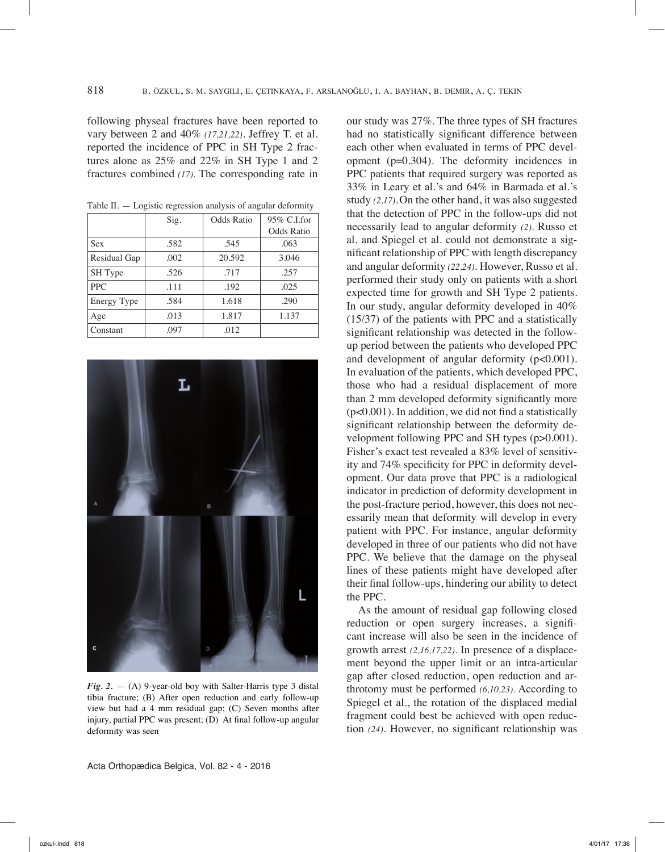following physeal fractures have been reported to vary between 2 and 40% *(17,21,22)*. Jeffrey T. et al. reported the incidence of PPC in SH Type 2 fractures alone as 25% and 22% in SH Type 1 and 2 fractures combined *(17).* The corresponding rate in

| Logical regression and jois of angenal ceromine, |      |            |             |  |  |
|--------------------------------------------------|------|------------|-------------|--|--|
|                                                  | Sig. | Odds Ratio | 95% C.I.for |  |  |
|                                                  |      |            | Odds Ratio  |  |  |
| <b>Sex</b>                                       | .582 | .545       | .063        |  |  |
| Residual Gap                                     | .002 | 20.592     | 3.046       |  |  |
| SH Type                                          | .526 | .717       | .257        |  |  |
| <b>PPC</b>                                       | .111 | .192       | .025        |  |  |
| Energy Type                                      | .584 | 1.618      | .290        |  |  |
| Age                                              | .013 | 1.817      | 1.137       |  |  |
| Constant                                         | .097 | .012       |             |  |  |

 $Table II =$  Logistic regression analysis of angular deformity



*Fig. 2.*  $-$  (A) 9-year-old boy with Salter-Harris type 3 distal tibia fracture; (B) After open reduction and early follow-up view but had a 4 mm residual gap; (C) Seven months after injury, partial PPC was present; (D) At final follow-up angular deformity was seen

our study was 27%. The three types of SH fractures had no statistically significant difference between each other when evaluated in terms of PPC development (p=0.304). The deformity incidences in PPC patients that required surgery was reported as 33% in Leary et al.'s and 64% in Barmada et al.'s study *(2,17)*.On the other hand, it was also suggested that the detection of PPC in the follow-ups did not necessarily lead to angular deformity *(2).* Russo et al. and Spiegel et al. could not demonstrate a significant relationship of PPC with length discrepancy and angular deformity *(22,24)*. However, Russo et al. performed their study only on patients with a short expected time for growth and SH Type 2 patients. In our study, angular deformity developed in 40% (15/37) of the patients with PPC and a statistically significant relationship was detected in the followup period between the patients who developed PPC and development of angular deformity (p<0.001). In evaluation of the patients, which developed PPC, those who had a residual displacement of more than 2 mm developed deformity significantly more (p<0.001). In addition, we did not find a statistically significant relationship between the deformity development following PPC and SH types (p $>0.001$ ). Fisher's exact test revealed a 83% level of sensitivity and 74% specificity for PPC in deformity development. Our data prove that PPC is a radiological indicator in prediction of deformity development in the post-fracture period, however, this does not necessarily mean that deformity will develop in every patient with PPC. For instance, angular deformity developed in three of our patients who did not have PPC. We believe that the damage on the physeal lines of these patients might have developed after their final follow-ups, hindering our ability to detect the PPC.

As the amount of residual gap following closed reduction or open surgery increases, a significant increase will also be seen in the incidence of growth arrest *(2,16,17,22).* In presence of a displacement beyond the upper limit or an intra-articular gap after closed reduction, open reduction and arthrotomy must be performed *(6,10,23).* According to Spiegel et al., the rotation of the displaced medial fragment could best be achieved with open reduction *(24)*. However, no significant relationship was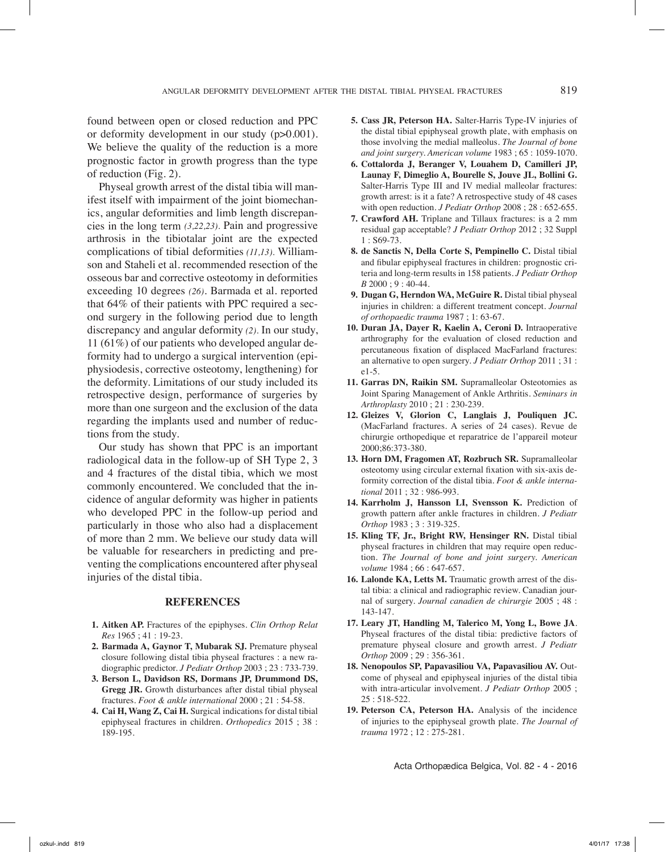found between open or closed reduction and PPC or deformity development in our study (p>0.001). We believe the quality of the reduction is a more prognostic factor in growth progress than the type of reduction (Fig. 2).

Physeal growth arrest of the distal tibia will manifest itself with impairment of the joint biomechanics, angular deformities and limb length discrepancies in the long term *(3,22,23).* Pain and progressive arthrosis in the tibiotalar joint are the expected complications of tibial deformities *(11,13).* Williamson and Staheli et al. recommended resection of the osseous bar and corrective osteotomy in deformities exceeding 10 degrees *(26)*. Barmada et al. reported that 64% of their patients with PPC required a second surgery in the following period due to length discrepancy and angular deformity *(2).* In our study, 11 (61%) of our patients who developed angular deformity had to undergo a surgical intervention (epiphysiodesis, corrective osteotomy, lengthening) for the deformity. Limitations of our study included its retrospective design, performance of surgeries by more than one surgeon and the exclusion of the data regarding the implants used and number of reductions from the study.

Our study has shown that PPC is an important radiological data in the follow-up of SH Type 2, 3 and 4 fractures of the distal tibia, which we most commonly encountered. We concluded that the incidence of angular deformity was higher in patients who developed PPC in the follow-up period and particularly in those who also had a displacement of more than 2 mm. We believe our study data will be valuable for researchers in predicting and preventing the complications encountered after physeal injuries of the distal tibia.

#### **References**

- **1. Aitken AP.** Fractures of the epiphyses. *Clin Orthop Relat Res* 1965 ; 41 : 19-23.
- **2. Barmada A, Gaynor T, Mubarak SJ.** Premature physeal closure following distal tibia physeal fractures : a new radiographic predictor. *J Pediatr Orthop* 2003 ; 23 : 733-739.
- **3. Berson L, Davidson RS, Dormans JP, Drummond DS, Gregg JR.** Growth disturbances after distal tibial physeal fractures. *Foot & ankle international* 2000 ; 21 : 54-58.
- **4. Cai H, Wang Z, Cai H.** Surgical indications for distal tibial epiphyseal fractures in children. *Orthopedics* 2015 ; 38 : 189-195.
- **5. Cass JR, Peterson HA.** Salter-Harris Type-IV injuries of the distal tibial epiphyseal growth plate, with emphasis on those involving the medial malleolus. *The Journal of bone and joint surgery. American volume* 1983 ; 65 : 1059-1070.
- **6. Cottalorda J, Beranger V, Louahem D, Camilleri JP, Launay F, Dimeglio A, Bourelle S, Jouve JL, Bollini G.**  Salter-Harris Type III and IV medial malleolar fractures: growth arrest: is it a fate? A retrospective study of 48 cases with open reduction. *J Pediatr Orthop* 2008 ; 28 : 652-655.
- **7. Crawford AH.** Triplane and Tillaux fractures: is a 2 mm residual gap acceptable? *J Pediatr Orthop* 2012 ; 32 Suppl 1 : S69-73.
- **8. de Sanctis N, Della Corte S, Pempinello C.** Distal tibial and fibular epiphyseal fractures in children: prognostic criteria and long-term results in 158 patients. *J Pediatr Orthop B* 2000 ; 9 : 40-44.
- **9. Dugan G, Herndon WA, McGuire R.** Distal tibial physeal injuries in children: a different treatment concept. *Journal of orthopaedic trauma* 1987 ; 1: 63-67.
- **10. Duran JA, Dayer R, Kaelin A, Ceroni D.** Intraoperative arthrography for the evaluation of closed reduction and percutaneous fixation of displaced MacFarland fractures: an alternative to open surgery. *J Pediatr Orthop* 2011 ; 31 : e1-5.
- **11. Garras DN, Raikin SM.** Supramalleolar Osteotomies as Joint Sparing Management of Ankle Arthritis. *Seminars in Arthroplasty* 2010 ; 21 : 230-239.
- **12. Gleizes V, Glorion C, Langlais J, Pouliquen JC.** (MacFarland fractures. A series of 24 cases). Revue de chirurgie orthopedique et reparatrice de l'appareil moteur 2000;86:373-380.
- **13. Horn DM, Fragomen AT, Rozbruch SR.** Supramalleolar osteotomy using circular external fixation with six-axis deformity correction of the distal tibia. *Foot & ankle international* 2011 ; 32 : 986-993.
- **14. Karrholm J, Hansson LI, Svensson K.** Prediction of growth pattern after ankle fractures in children. *J Pediatr Orthop* 1983 ; 3 : 319-325.
- **15. Kling TF, Jr., Bright RW, Hensinger RN.** Distal tibial physeal fractures in children that may require open reduction. *The Journal of bone and joint surgery. American volume* 1984 ; 66 : 647-657.
- **16. Lalonde KA, Letts M.** Traumatic growth arrest of the distal tibia: a clinical and radiographic review. Canadian journal of surgery. *Journal canadien de chirurgie* 2005 ; 48 : 143-147.
- **17. Leary JT, Handling M, Talerico M, Yong L, Bowe JA**. Physeal fractures of the distal tibia: predictive factors of premature physeal closure and growth arrest. *J Pediatr Orthop* 2009 ; 29 : 356-361.
- **18. Nenopoulos SP, Papavasiliou VA, Papavasiliou AV.** Outcome of physeal and epiphyseal injuries of the distal tibia with intra-articular involvement. *J Pediatr Orthop* 2005 ; 25 : 518-522.
- **19. Peterson CA, Peterson HA.** Analysis of the incidence of injuries to the epiphyseal growth plate. *The Journal of trauma* 1972 ; 12 : 275-281.